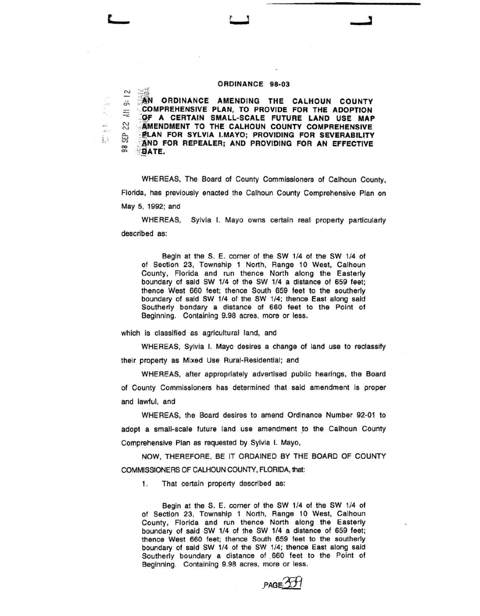## $\sim$   $\mathbb{H}^{\alpha}_{\alpha}$  :

**AN ORDINANCE AMENDING THE CALHOUN COUNTY**  $\equiv$   $\frac{1}{2}$   $\approx$  COMPREHENSIVE PLAN, TO PROVIDE FOR THE ADOPTION  $\approx$   $\frac{1}{2}$  of a certain small-scale future land use map  $\approx$   $\frac{1}{2}$   $\frac{1}{2}$   $\frac{1}{2}$   $\frac{1}{2}$   $\frac{1}{2}$   $\frac{1}{2}$   $\frac{1}{2}$   $\frac{1}{2}$   $\frac{1}{2}$   $\frac{1}{2}$   $\frac{1}{2}$   $\frac{1}{2}$   $\frac{1}{2}$   $\frac{1}{2}$   $\frac{1}{2}$   $\frac{1}{$ AMENDMENT TO THE CALHOUN COUNTY COMPREHENSIVE **A... ELAN FOR SYLVIA I.MAYO; PROVIDING FOR SEVERABILITY**  $\frac{\varnothing}{\infty}$   $\frac{\varnothing}{\infty}$   $\frac{\varnothing}{\infty}$  and  $\frac{\varnothing}{\infty}$  and  $\frac{\varnothing}{\infty}$  and  $\frac{\varnothing}{\infty}$  and  $\frac{\varnothing}{\infty}$  $B$ ATE.

WHEREAS, The Board of County Commissioners of Calhoun County, Florida, has previously enacted the Calhoun County Comprehensive Plan on May 5, 1992; and

WHEREAS, Sylvia I. Mayo owns certain real property particularly described as:

Begin at the S. E. corner of the SW 1/4 of the SW 1/4 of of Section 23, Township 1 North, Range 10 West, Calhoun County, Florida and run thence North along the Easterly boundary of said SW 1/4 of the SW 1/4 a distance of 659 feet; thence West 660 feet; thence South 659 feet to the southerly boundary of said SW 1/4 of the SW 1/4; thence East along said Southerly bondary a distance of 660 feet to the Point of Beginning. Containing 9.98 acres, more or less.

which is classified as agricultural land, and

 $\alpha_{\rm{in}}$  . an<br>Ian  $\tilde{g}$  :

> WHEREAS, Sylvia I. Mayo desires a change of land use to reclassify their property as Mixed Use Rural-Residential; and

> WHEREAS, after appropriately advertised public hearings, the Board of County Commissioners has determined that said amendment is proper and lawful, and

> WHEREAS, the Board desires to amend Ordinance Number 92-01 to adopt a small-scale future land use amendment to the Calhoun County Comprehensive Plan as requested by Sylvia I. Mayo,

> NOW, THEREFORE, BE IT ORDAINED BY THE BOARD OF COUNTY COMMISSIONERS OF CALHOUN COUNTY, FLORIDA, that:

1. That certain property described as:

Begin at the S. E. corner of the SW 1/4 of the SW 1/4 of of Section 23, Township 1 North, Range 10 West, Calhoun County. Florida and run thence North along the Easterly boundary of said SW 1/4 of the SW 1/4 a distance of 659 feet; thence West 660 feet; thence South 659 feet to the southerly boundary of said SW 1/4 of the SW 1/4; thence East along said Southerly boundary a distance of . 660 feet to the Point of Beginning. Containing 9.98 acres, more or less.